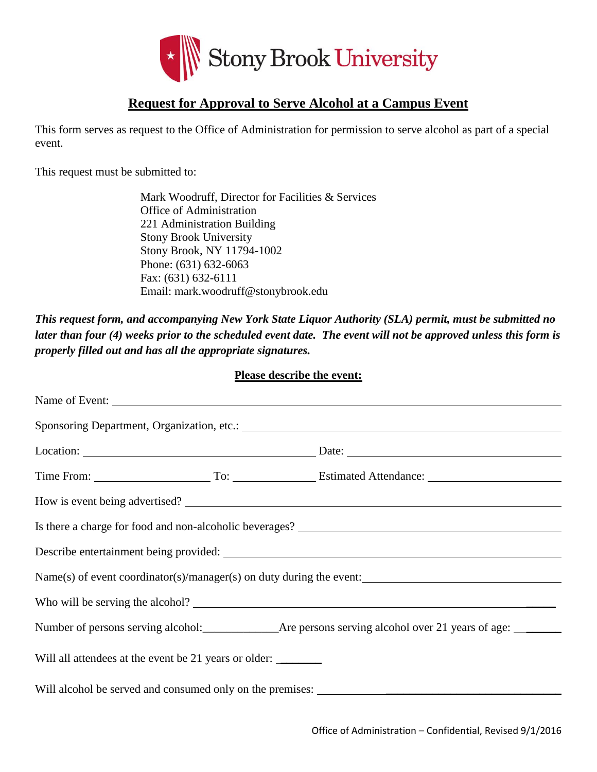

## **Request for Approval to Serve Alcohol at a Campus Event**

This form serves as request to the Office of Administration for permission to serve alcohol as part of a special event.

This request must be submitted to:

Mark Woodruff, Director for Facilities & Services Office of Administration 221 Administration Building Stony Brook University Stony Brook, NY 11794-1002 Phone: (631) 632-6063 Fax: (631) 632-6111 Email: mark.woodruff@stonybrook.edu

*This request form, and accompanying New York State Liquor Authority (SLA) permit, must be submitted no later than four (4) weeks prior to the scheduled event date. The event will not be approved unless this form is properly filled out and has all the appropriate signatures.* 

|                                                                      | <b>Please describe the event:</b> |
|----------------------------------------------------------------------|-----------------------------------|
| Name of Event:                                                       |                                   |
|                                                                      |                                   |
|                                                                      |                                   |
| Time From: To: To: Estimated Attendance: To: Estimated Attendance:   |                                   |
| How is event being advertised?                                       |                                   |
| Is there a charge for food and non-alcoholic beverages?              |                                   |
|                                                                      |                                   |
| Name(s) of event coordinator(s)/manager(s) on duty during the event: |                                   |
|                                                                      |                                   |
|                                                                      |                                   |
| Will all attendees at the event be 21 years or older:                |                                   |
|                                                                      |                                   |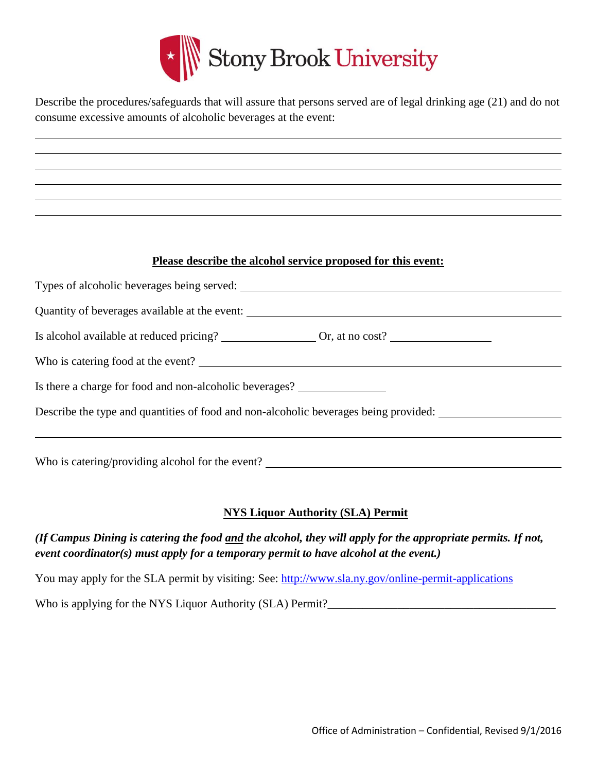

Describe the procedures/safeguards that will assure that persons served are of legal drinking age (21) and do not consume excessive amounts of alcoholic beverages at the event:

## **Please describe the alcohol service proposed for this event:**

| Quantity of beverages available at the event:                                        |
|--------------------------------------------------------------------------------------|
|                                                                                      |
| Who is catering food at the event?                                                   |
| Is there a charge for food and non-alcoholic beverages?                              |
| Describe the type and quantities of food and non-alcoholic beverages being provided: |
|                                                                                      |
| $\mathbf{r}$                                                                         |

Who is catering/providing alcohol for the event?

## **NYS Liquor Authority (SLA) Permit**

*(If Campus Dining is catering the food and the alcohol, they will apply for the appropriate permits. If not, event coordinator(s) must apply for a temporary permit to have alcohol at the event.)*

You may apply for the SLA permit by visiting: See:<http://www.sla.ny.gov/online-permit-applications>

Who is applying for the NYS Liquor Authority (SLA) Permit?\_\_\_\_\_\_\_\_\_\_\_\_\_\_\_\_\_\_\_\_\_\_\_\_\_\_\_\_\_\_\_\_\_\_\_\_\_\_\_